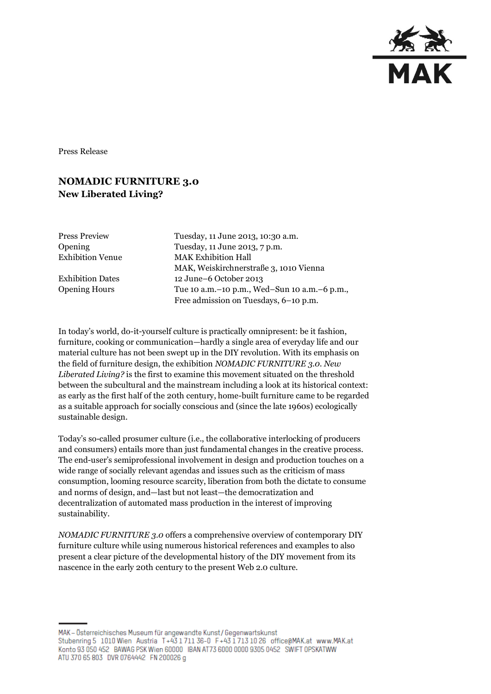

Press Release

## **NOMADIC FURNITURE 3.0 New Liberated Living?**

| <b>Press Preview</b>    | Tuesday, 11 June 2013, 10:30 a.m.                |
|-------------------------|--------------------------------------------------|
| <b>Opening</b>          | Tuesday, 11 June 2013, 7 p.m.                    |
| <b>Exhibition Venue</b> | <b>MAK Exhibition Hall</b>                       |
|                         | MAK, Weiskirchnerstraße 3, 1010 Vienna           |
| Exhibition Dates        | 12 June–6 October 2013                           |
| <b>Opening Hours</b>    | Tue 10 a.m. - 10 p.m., Wed-Sun 10 a.m. - 6 p.m., |
|                         | Free admission on Tuesdays, 6-10 p.m.            |

In today's world, do-it-yourself culture is practically omnipresent: be it fashion, furniture, cooking or communication—hardly a single area of everyday life and our material culture has not been swept up in the DIY revolution. With its emphasis on the field of furniture design, the exhibition *NOMADIC FURNITURE 3.0. New Liberated Living?* is the first to examine this movement situated on the threshold between the subcultural and the mainstream including a look at its historical context: as early as the first half of the 20th century, home-built furniture came to be regarded as a suitable approach for socially conscious and (since the late 1960s) ecologically sustainable design.

Today's so-called prosumer culture (i.e., the collaborative interlocking of producers and consumers) entails more than just fundamental changes in the creative process. The end-user's semiprofessional involvement in design and production touches on a wide range of socially relevant agendas and issues such as the criticism of mass consumption, looming resource scarcity, liberation from both the dictate to consume and norms of design, and—last but not least—the democratization and decentralization of automated mass production in the interest of improving sustainability.

*NOMADIC FURNITURE 3.0* offers a comprehensive overview of contemporary DIY furniture culture while using numerous historical references and examples to also present a clear picture of the developmental history of the DIY movement from its nascence in the early 20th century to the present Web 2.0 culture.

MAK - Österreichisches Museum für angewandte Kunst / Gegenwartskunst Stubenring 5 1010 Wien Austria T+43 1711 36-0 F+43 1713 10 26 office@MAK.at www.MAK.at Konto 93 050 452 BAWAG PSK Wien 60000 BAN AT73 6000 0000 9305 0452 SWIFT 0PSKATWW ATU 370 65 803 DVR 0764442 FN 200026 g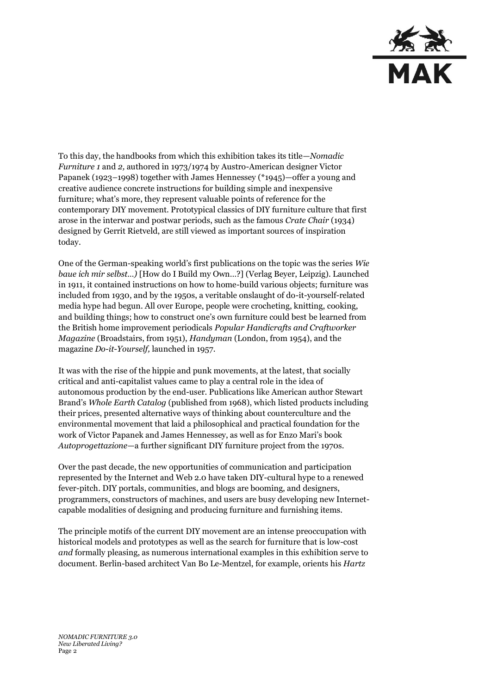

To this day, the handbooks from which this exhibition takes its title—*Nomadic Furniture 1* and *2,* authored in 1973/1974 by Austro-American designer Victor Papanek (1923–1998) together with James Hennessey (\*1945)—offer a young and creative audience concrete instructions for building simple and inexpensive furniture; what's more, they represent valuable points of reference for the contemporary DIY movement. Prototypical classics of DIY furniture culture that first arose in the interwar and postwar periods, such as the famous *Crate Chair* (1934) designed by Gerrit Rietveld, are still viewed as important sources of inspiration today.

One of the German-speaking world's first publications on the topic was the series *Wie baue ich mir selbst…)* [How do I Build my Own…?] (Verlag Beyer, Leipzig). Launched in 1911, it contained instructions on how to home-build various objects; furniture was included from 1930, and by the 1950s, a veritable onslaught of do-it-yourself-related media hype had begun. All over Europe, people were crocheting, knitting, cooking, and building things; how to construct one's own furniture could best be learned from the British home improvement periodicals *Popular Handicrafts and Craftworker Magazine* (Broadstairs, from 1951), *Handyman* (London, from 1954), and the magazine *Do-it-Yourself,* launched in 1957.

It was with the rise of the hippie and punk movements, at the latest, that socially critical and anti-capitalist values came to play a central role in the idea of autonomous production by the end-user. Publications like American author Stewart Brand's *Whole Earth Catalog* (published from 1968), which listed products including their prices, presented alternative ways of thinking about counterculture and the environmental movement that laid a philosophical and practical foundation for the work of Victor Papanek and James Hennessey, as well as for Enzo Mari's book *Autoprogettazione*—a further significant DIY furniture project from the 1970s.

Over the past decade, the new opportunities of communication and participation represented by the Internet and Web 2.0 have taken DIY-cultural hype to a renewed fever-pitch. DIY portals, communities, and blogs are booming, and designers, programmers, constructors of machines, and users are busy developing new Internetcapable modalities of designing and producing furniture and furnishing items.

The principle motifs of the current DIY movement are an intense preoccupation with historical models and prototypes as well as the search for furniture that is low-cost *and* formally pleasing, as numerous international examples in this exhibition serve to document. Berlin-based architect Van Bo Le-Mentzel, for example, orients his *Hartz*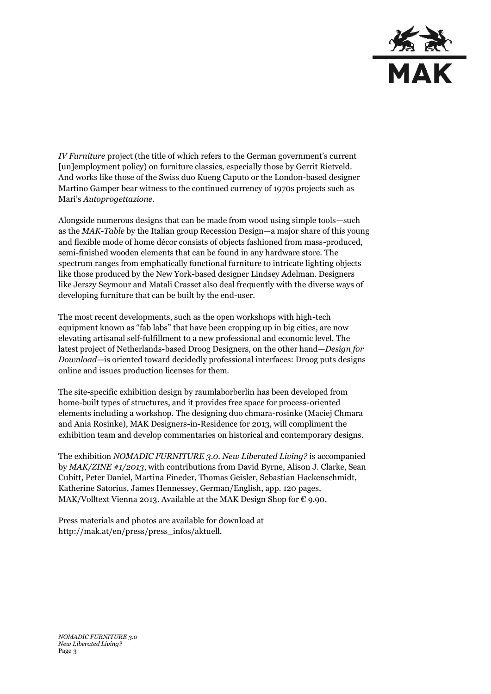

*IV Furniture* project (the title of which refers to the German government's current [un]employment policy) on furniture classics, especially those by Gerrit Rietveld. And works like those of the Swiss duo Kueng Caputo or the London-based designer Martino Gamper bear witness to the continued currency of 1970s projects such as Mari's *Autoprogettazione*.

Alongside numerous designs that can be made from wood using simple tools—such as the *MAK-Table* by the Italian group Recession Design—a major share of this young and flexible mode of home décor consists of objects fashioned from mass-produced, semi-finished wooden elements that can be found in any hardware store. The spectrum ranges from emphatically functional furniture to intricate lighting objects like those produced by the New York-based designer Lindsey Adelman. Designers like Jerszy Seymour and Matali Crasset also deal frequently with the diverse ways of developing furniture that can be built by the end-user.

The most recent developments, such as the open workshops with high-tech equipment known as "fab labs" that have been cropping up in big cities, are now elevating artisanal self-fulfillment to a new professional and economic level. The latest project of Netherlands-based Droog Designers, on the other hand—*Design for Download—*is oriented toward decidedly professional interfaces: Droog puts designs online and issues production licenses for them.

The site-specific exhibition design by raumlaborberlin has been developed from home-built types of structures, and it provides free space for process-oriented elements including a workshop. The designing duo chmara-rosinke (Maciej Chmara and Ania Rosinke), MAK Designers-in-Residence for 2013, will compliment the exhibition team and develop commentaries on historical and contemporary designs.

The exhibition *NOMADIC FURNITURE 3.0. New Liberated Living?* is accompanied by *MAK/ZINE #1/2013*, with contributions from David Byrne, Alison J. Clarke, Sean Cubitt, Peter Daniel, Martina Fineder, Thomas Geisler, Sebastian Hackenschmidt, Katherine Satorius, James Hennessey, German/English, app. 120 pages, MAK/Volltext Vienna 2013. Available at the MAK Design Shop for  $\epsilon$  9.90.

Press materials and photos are available for download at http://mak.at/en/press/press\_infos/aktuell.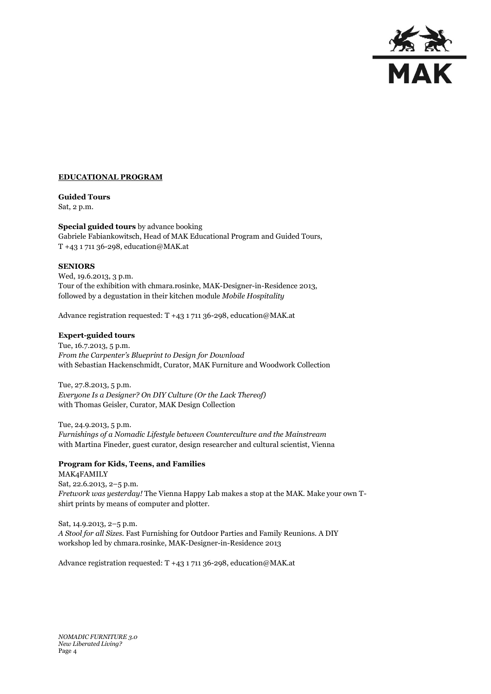

## **EDUCATIONAL PROGRAM**

## **Guided Tours**

Sat, 2 p.m.

## **Special guided tours** by advance booking

Gabriele Fabiankowitsch, Head of MAK Educational Program and Guided Tours, T +43 1 711 36-298, education@MAK.at

## **SENIORS**

Wed, 19.6.2013, 3 p.m. Tour of the exhibition with chmara.rosinke, MAK-Designer-in-Residence 2013, followed by a degustation in their kitchen module *Mobile Hospitality*

Advance registration requested: T +43 1 711 36-298, education@MAK.at

## **Expert-guided tours**

Tue, 16.7.2013, 5 p.m. *From the Carpenter's Blueprint to Design for Download* with Sebastian Hackenschmidt, Curator, MAK Furniture and Woodwork Collection

Tue, 27.8.2013, 5 p.m. *Everyone Is a Designer? On DIY Culture (Or the Lack Thereof)*  with Thomas Geisler, Curator, MAK Design Collection

Tue, 24.9.2013, 5 p.m. *Furnishings of a Nomadic Lifestyle between Counterculture and the Mainstream*  with Martina Fineder, guest curator, design researcher and cultural scientist, Vienna

## **Program for Kids, Teens, and Families**

MAK4FAMILY Sat, 22.6.2013, 2–5 p.m. *Fretwork was yesterday!* The Vienna Happy Lab makes a stop at the MAK. Make your own Tshirt prints by means of computer and plotter.

Sat, 14.9.2013, 2–5 p.m. *A Stool for all Sizes.* Fast Furnishing for Outdoor Parties and Family Reunions. A DIY workshop led by chmara.rosinke, MAK-Designer-in-Residence 2013

Advance registration requested: T +43 1 711 36-298, education@MAK.at

*NOMADIC FURNITURE 3.0 New Liberated Living?* Page 4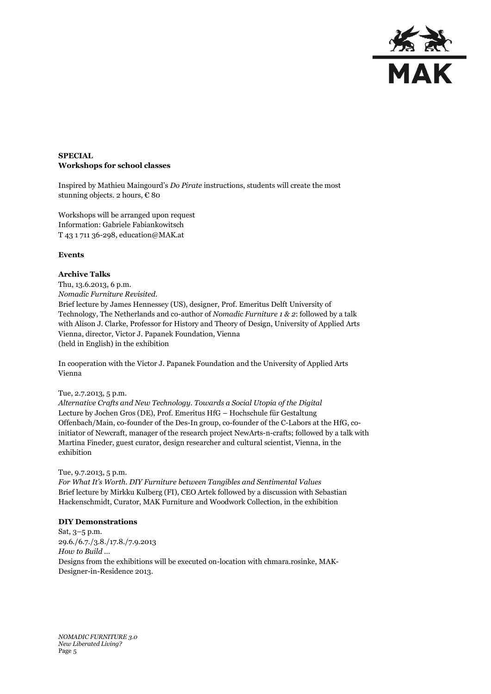

## **SPECIAL Workshops for school classes**

Inspired by Mathieu Maingourd's *Do Pirate* instructions, students will create the most stunning objects. 2 hours, € 80

Workshops will be arranged upon request Information: Gabriele Fabiankowitsch T 43 1 711 36-298, education@MAK.at

## **Events**

#### **Archive Talks**

Thu, 13.6.2013, 6 p.m. *Nomadic Furniture Revisited.* Brief lecture by James Hennessey (US), designer, Prof. Emeritus Delft University of Technology, The Netherlands and co-author of *Nomadic Furniture 1 & 2*: followed by a talk with Alison J. Clarke, Professor for History and Theory of Design, University of Applied Arts Vienna, director, Victor J. Papanek Foundation, Vienna (held in English) in the exhibition

In cooperation with the Victor J. Papanek Foundation and the University of Applied Arts Vienna

#### Tue, 2.7.2013, 5 p.m.

*Alternative Crafts and New Technology. Towards a Social Utopia of the Digital* Lecture by Jochen Gros (DE), Prof. Emeritus HfG – Hochschule für Gestaltung Offenbach/Main, co-founder of the Des-In group, co-founder of the C-Labors at the HfG, coinitiator of Newcraft, manager of the research project NewArts-n-crafts; followed by a talk with Martina Fineder, guest curator, design researcher and cultural scientist, Vienna, in the exhibition

### Tue, 9.7.2013, 5 p.m.

*For What It's Worth. DIY Furniture between Tangibles and Sentimental Values*  Brief lecture by Mirkku Kulberg (FI), CEO Artek followed by a discussion with Sebastian Hackenschmidt, Curator, MAK Furniture and Woodwork Collection, in the exhibition

#### **DIY Demonstrations**

Sat, 3–5 p.m. 29.6./6.7./3.8./17.8./7.9.2013 *How to Build …* Designs from the exhibitions will be executed on-location with chmara.rosinke, MAK-Designer-in-Residence 2013.

*NOMADIC FURNITURE 3.0 New Liberated Living?* Page 5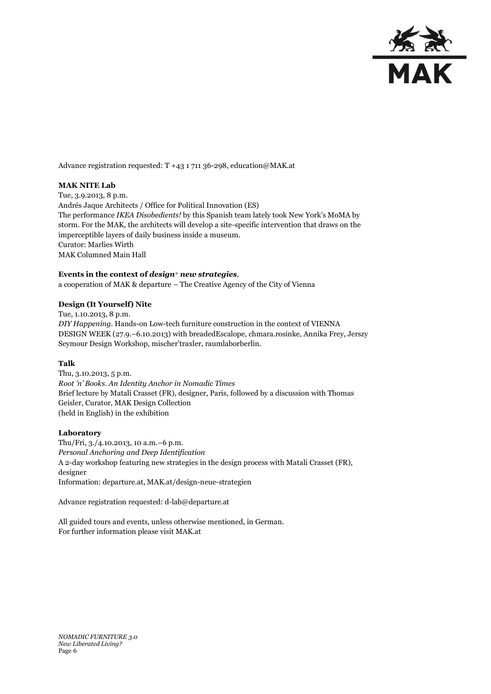

Advance registration requested: T +43 1 711 36-298, education@MAK.at

## **MAK NITE Lab**

Tue, 3.9.2013, 8 p.m. Andrés Jaque Architects / Office for Political Innovation (ES) The performance *IKEA Disobedients!* by this Spanish team lately took New York's MoMA by storm. For the MAK, the architects will develop a site-specific intervention that draws on the imperceptible layers of daily business inside a museum. Curator: Marlies Wirth MAK Columned Main Hall

## **Events in the context of** *design<sup>&</sup>gt; new strategies*,

a cooperation of MAK & departure – The Creative Agency of the City of Vienna

## **Design (It Yourself) Nite**

Tue, 1.10.2013, 8 p.m. *DIY Happening.* Hands-on Low-tech furniture construction in the context of VIENNA DESIGN WEEK (27.9.–6.10.2013) with breadedEscalope, chmara.rosinke, Annika Frey, Jerszy Seymour Design Workshop, mischer'traxler, raumlaborberlin.

## **Talk**

Thu, 3.10.2013, 5 p.m. *Root 'n' Books. An Identity Anchor in Nomadic Times* Brief lecture by Matali Crasset (FR), designer, Paris, followed by a discussion with Thomas Geisler, Curator, MAK Design Collection (held in English) in the exhibition

#### **Laboratory**

Thu/Fri, 3./4.10.2013, 10 a.m.–6 p.m. *Personal Anchoring and Deep Identification* A 2-day workshop featuring new strategies in the design process with Matali Crasset (FR), designer Information: departure.at, MAK.at/design-neue-strategien

Advance registration requested: d-lab@departure.at

All guided tours and events, unless otherwise mentioned, in German. For further information please visit MAK.at